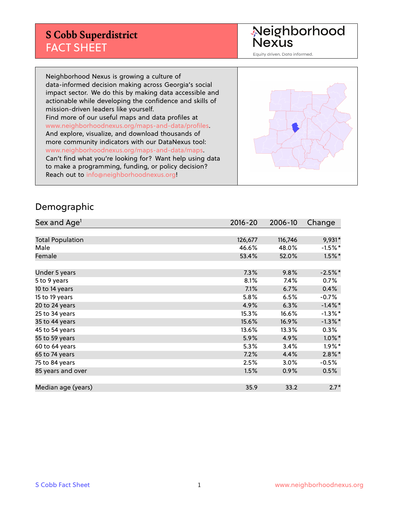Neighborhood<br>Nexus

Equity driven. Data informed.

Neighborhood Nexus is growing a culture of data-informed decision making across Georgia's social impact sector. We do this by making data accessible and actionable while developing the confidence and skills of mission-driven leaders like yourself. Find more of our useful maps and data profiles at www.neighborhoodnexus.org/maps-and-data/profiles. And explore, visualize, and download thousands of more community indicators with our DataNexus tool: www.neighborhoodnexus.org/maps-and-data/maps. Can't find what you're looking for? Want help using data to make a programming, funding, or policy decision? Reach out to [info@neighborhoodnexus.org!](mailto:info@neighborhoodnexus.org)



#### Demographic

| Sex and Age <sup>1</sup> | $2016 - 20$ | 2006-10 | Change     |
|--------------------------|-------------|---------|------------|
|                          |             |         |            |
| <b>Total Population</b>  | 126,677     | 116,746 | 9,931*     |
| Male                     | 46.6%       | 48.0%   | $-1.5%$ *  |
| Female                   | 53.4%       | 52.0%   | $1.5\%$ *  |
|                          |             |         |            |
| Under 5 years            | 7.3%        | 9.8%    | $-2.5%$ *  |
| 5 to 9 years             | 8.1%        | 7.4%    | 0.7%       |
| 10 to 14 years           | 7.1%        | 6.7%    | 0.4%       |
| 15 to 19 years           | 5.8%        | 6.5%    | $-0.7%$    |
| 20 to 24 years           | 4.9%        | 6.3%    | $-1.4\%$ * |
| 25 to 34 years           | 15.3%       | 16.6%   | $-1.3%$ *  |
| 35 to 44 years           | 15.6%       | 16.9%   | $-1.3\%$ * |
| 45 to 54 years           | 13.6%       | 13.3%   | 0.3%       |
| 55 to 59 years           | 5.9%        | 4.9%    | $1.0\%$ *  |
| 60 to 64 years           | 5.3%        | 3.4%    | $1.9\%$ *  |
| 65 to 74 years           | 7.2%        | 4.4%    | $2.8\%$ *  |
| 75 to 84 years           | 2.5%        | 3.0%    | $-0.5%$    |
| 85 years and over        | 1.5%        | 0.9%    | 0.5%       |
|                          |             |         |            |
| Median age (years)       | 35.9        | 33.2    | $2.7*$     |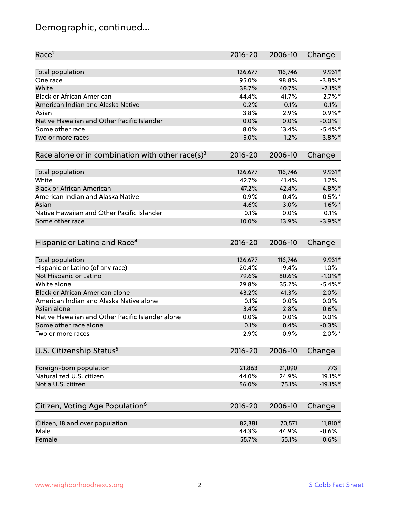# Demographic, continued...

| Race <sup>2</sup>                                            | $2016 - 20$ | 2006-10          | Change      |
|--------------------------------------------------------------|-------------|------------------|-------------|
| <b>Total population</b>                                      | 126,677     | 116,746          | 9,931*      |
| One race                                                     | 95.0%       | 98.8%            | $-3.8\%$ *  |
| White                                                        | 38.7%       | 40.7%            | $-2.1\%$ *  |
| <b>Black or African American</b>                             | 44.4%       | 41.7%            | $2.7\%$ *   |
| American Indian and Alaska Native                            | 0.2%        | 0.1%             | 0.1%        |
| Asian                                                        | 3.8%        | 2.9%             | $0.9\%$ *   |
| Native Hawaiian and Other Pacific Islander                   | 0.0%        | 0.0%             | $-0.0%$     |
| Some other race                                              | 8.0%        | 13.4%            | $-5.4\%$ *  |
| Two or more races                                            | 5.0%        | 1.2%             | $3.8\%$ *   |
| Race alone or in combination with other race(s) <sup>3</sup> | $2016 - 20$ | 2006-10          | Change      |
|                                                              | 126,677     |                  | 9,931*      |
| <b>Total population</b><br>White                             | 42.7%       | 116,746<br>41.4% | 1.2%        |
| <b>Black or African American</b>                             | 47.2%       | 42.4%            | 4.8%*       |
| American Indian and Alaska Native                            | 0.9%        | 0.4%             | $0.5%$ *    |
| Asian                                                        | 4.6%        | 3.0%             | $1.6\%$ *   |
| Native Hawaiian and Other Pacific Islander                   | 0.1%        | 0.0%             | 0.1%        |
|                                                              | 10.0%       |                  | $-3.9\%$ *  |
| Some other race                                              |             | 13.9%            |             |
| Hispanic or Latino and Race <sup>4</sup>                     | $2016 - 20$ | 2006-10          | Change      |
| Total population                                             | 126,677     | 116,746          | 9,931*      |
| Hispanic or Latino (of any race)                             | 20.4%       | 19.4%            | 1.0%        |
| Not Hispanic or Latino                                       | 79.6%       | 80.6%            | $-1.0\%$ *  |
| White alone                                                  | 29.8%       | 35.2%            | $-5.4\%$ *  |
| Black or African American alone                              | 43.2%       | 41.3%            | 2.0%        |
| American Indian and Alaska Native alone                      | 0.1%        | 0.0%             | 0.0%        |
| Asian alone                                                  | 3.4%        | 2.8%             | 0.6%        |
| Native Hawaiian and Other Pacific Islander alone             | 0.0%        | 0.0%             | 0.0%        |
| Some other race alone                                        | 0.1%        | 0.4%             | $-0.3%$     |
| Two or more races                                            | 2.9%        | 0.9%             | $2.0\%$ *   |
|                                                              |             |                  |             |
| U.S. Citizenship Status <sup>5</sup>                         | $2016 - 20$ | 2006-10          | Change      |
| Foreign-born population                                      | 21,863      | 21,090           | 773         |
| Naturalized U.S. citizen                                     | 44.0%       | 24.9%            | 19.1%*      |
| Not a U.S. citizen                                           | 56.0%       | 75.1%            | $-19.1\%$ * |
| Citizen, Voting Age Population <sup>6</sup>                  | 2016-20     | 2006-10          | Change      |
|                                                              |             |                  |             |
| Citizen, 18 and over population                              | 82,381      | 70,571           | 11,810*     |
| Male                                                         | 44.3%       | 44.9%            | $-0.6%$     |
| Female                                                       | 55.7%       | 55.1%            | 0.6%        |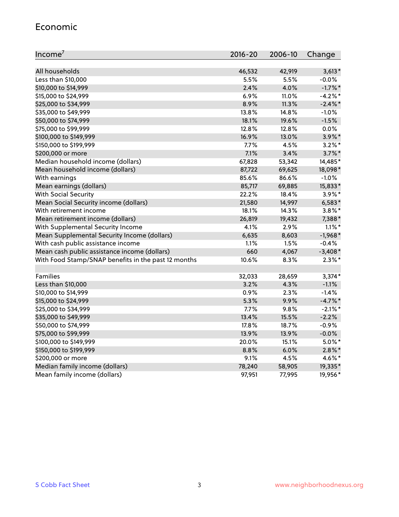#### Economic

| Income <sup>7</sup>                                 | $2016 - 20$ | 2006-10 | Change     |
|-----------------------------------------------------|-------------|---------|------------|
|                                                     |             |         |            |
| All households                                      | 46,532      | 42,919  | $3,613*$   |
| Less than \$10,000                                  | 5.5%        | 5.5%    | $-0.0%$    |
| \$10,000 to \$14,999                                | 2.4%        | 4.0%    | $-1.7\%$ * |
| \$15,000 to \$24,999                                | 6.9%        | 11.0%   | $-4.2%$ *  |
| \$25,000 to \$34,999                                | 8.9%        | 11.3%   | $-2.4\%$ * |
| \$35,000 to \$49,999                                | 13.8%       | 14.8%   | $-1.0%$    |
| \$50,000 to \$74,999                                | 18.1%       | 19.6%   | $-1.5%$    |
| \$75,000 to \$99,999                                | 12.8%       | 12.8%   | $0.0\%$    |
| \$100,000 to \$149,999                              | 16.9%       | 13.0%   | 3.9%*      |
| \$150,000 to \$199,999                              | 7.7%        | 4.5%    | $3.2\%$ *  |
| \$200,000 or more                                   | 7.1%        | 3.4%    | $3.7\%$ *  |
| Median household income (dollars)                   | 67,828      | 53,342  | 14,485*    |
| Mean household income (dollars)                     | 87,722      | 69,625  | 18,098*    |
| With earnings                                       | 85.6%       | 86.6%   | $-1.0%$    |
| Mean earnings (dollars)                             | 85,717      | 69,885  | 15,833*    |
| <b>With Social Security</b>                         | 22.2%       | 18.4%   | $3.9\%$ *  |
| Mean Social Security income (dollars)               | 21,580      | 14,997  | $6,583*$   |
| With retirement income                              | 18.1%       | 14.3%   | $3.8\%$ *  |
| Mean retirement income (dollars)                    | 26,819      | 19,432  | 7,388*     |
| With Supplemental Security Income                   | 4.1%        | 2.9%    | $1.1\%$ *  |
| Mean Supplemental Security Income (dollars)         | 6,635       | 8,603   | $-1,968*$  |
| With cash public assistance income                  | 1.1%        | $1.5\%$ | $-0.4%$    |
| Mean cash public assistance income (dollars)        | 660         | 4,067   | $-3,408*$  |
| With Food Stamp/SNAP benefits in the past 12 months | 10.6%       | 8.3%    | $2.3\%$ *  |
|                                                     |             |         |            |
| Families                                            | 32,033      | 28,659  | $3,374*$   |
| Less than \$10,000                                  | 3.2%        | 4.3%    | $-1.1%$    |
| \$10,000 to \$14,999                                | 0.9%        | 2.3%    | $-1.4%$    |
| \$15,000 to \$24,999                                | 5.3%        | 9.9%    | $-4.7\%$ * |
| \$25,000 to \$34,999                                | 7.7%        | 9.8%    | $-2.1\%$ * |
| \$35,000 to \$49,999                                | 13.4%       | 15.5%   | $-2.2%$    |
| \$50,000 to \$74,999                                | 17.8%       | 18.7%   | $-0.9%$    |
| \$75,000 to \$99,999                                | 13.9%       | 13.9%   | $-0.0%$    |
| \$100,000 to \$149,999                              | 20.0%       | 15.1%   | $5.0\%$ *  |
| \$150,000 to \$199,999                              | 8.8%        | 6.0%    | $2.8\%$ *  |
| \$200,000 or more                                   | 9.1%        | 4.5%    | 4.6%*      |
| Median family income (dollars)                      | 78,240      | 58,905  | 19,335*    |
| Mean family income (dollars)                        | 97,951      | 77,995  | 19,956*    |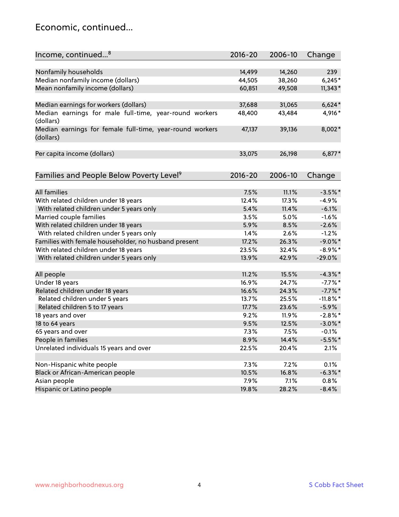#### Economic, continued...

| Income, continued <sup>8</sup>                                        | $2016 - 20$ | 2006-10 | Change      |
|-----------------------------------------------------------------------|-------------|---------|-------------|
|                                                                       |             |         |             |
| Nonfamily households                                                  | 14,499      | 14,260  | 239         |
| Median nonfamily income (dollars)                                     | 44,505      | 38,260  | $6,245*$    |
| Mean nonfamily income (dollars)                                       | 60,851      | 49,508  | $11,343*$   |
| Median earnings for workers (dollars)                                 | 37,688      | 31,065  | $6,624*$    |
| Median earnings for male full-time, year-round workers                | 48,400      | 43,484  | 4,916*      |
| (dollars)                                                             |             |         |             |
| Median earnings for female full-time, year-round workers<br>(dollars) | 47,137      | 39,136  | 8,002*      |
| Per capita income (dollars)                                           | 33,075      | 26,198  | $6,877*$    |
|                                                                       |             |         |             |
| Families and People Below Poverty Level <sup>9</sup>                  | 2016-20     | 2006-10 | Change      |
|                                                                       |             |         |             |
| <b>All families</b>                                                   | 7.5%        | 11.1%   | $-3.5%$ *   |
| With related children under 18 years                                  | 12.4%       | 17.3%   | $-4.9%$     |
| With related children under 5 years only                              | 5.4%        | 11.4%   | $-6.1%$     |
| Married couple families                                               | 3.5%        | 5.0%    | $-1.6%$     |
| With related children under 18 years                                  | 5.9%        | 8.5%    | $-2.6%$     |
| With related children under 5 years only                              | 1.4%        | 2.6%    | $-1.2%$     |
| Families with female householder, no husband present                  | 17.2%       | 26.3%   | $-9.0\%$ *  |
| With related children under 18 years                                  | 23.5%       | 32.4%   | $-8.9\%$ *  |
| With related children under 5 years only                              | 13.9%       | 42.9%   | $-29.0%$    |
| All people                                                            | 11.2%       | 15.5%   | $-4.3\%$ *  |
| Under 18 years                                                        | 16.9%       | 24.7%   | $-7.7%$ *   |
| Related children under 18 years                                       | 16.6%       | 24.3%   | $-7.7\%$ *  |
| Related children under 5 years                                        | 13.7%       | 25.5%   | $-11.8\%$ * |
| Related children 5 to 17 years                                        | 17.7%       | 23.6%   | $-5.9\%$    |
| 18 years and over                                                     | 9.2%        | 11.9%   | $-2.8\%$ *  |
| 18 to 64 years                                                        | 9.5%        | 12.5%   | $-3.0\%$ *  |
| 65 years and over                                                     | 7.3%        | 7.5%    | $-0.1%$     |
| People in families                                                    | 8.9%        | 14.4%   | $-5.5%$ *   |
| Unrelated individuals 15 years and over                               | 22.5%       | 20.4%   | 2.1%        |
|                                                                       |             |         |             |
| Non-Hispanic white people                                             | 7.3%        | 7.2%    | 0.1%        |
| Black or African-American people                                      | 10.5%       | 16.8%   | $-6.3\%$ *  |
| Asian people                                                          | 7.9%        | 7.1%    | 0.8%        |
| Hispanic or Latino people                                             | 19.8%       | 28.2%   | $-8.4%$     |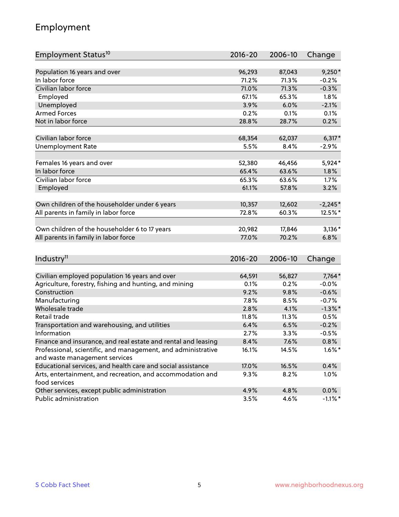## Employment

| Employment Status <sup>10</sup>                                                               | $2016 - 20$     | 2006-10 | Change     |
|-----------------------------------------------------------------------------------------------|-----------------|---------|------------|
|                                                                                               |                 |         |            |
| Population 16 years and over                                                                  | 96,293          | 87,043  | $9,250*$   |
| In labor force                                                                                | 71.2%           | 71.3%   | $-0.2%$    |
| Civilian labor force                                                                          | 71.0%           | 71.3%   | $-0.3%$    |
| Employed                                                                                      | 67.1%           | 65.3%   | 1.8%       |
| Unemployed                                                                                    | 3.9%            | 6.0%    | $-2.1%$    |
| <b>Armed Forces</b>                                                                           | 0.2%            | 0.1%    | 0.1%       |
| Not in labor force                                                                            | 28.8%           | 28.7%   | 0.2%       |
| Civilian labor force                                                                          | 68,354          | 62,037  | $6,317*$   |
| <b>Unemployment Rate</b>                                                                      | 5.5%            | 8.4%    | $-2.9%$    |
|                                                                                               |                 |         |            |
| Females 16 years and over                                                                     | 52,380          | 46,456  | $5,924*$   |
| In labor force                                                                                | 65.4%           | 63.6%   | $1.8\%$    |
| Civilian labor force                                                                          | 65.3%           | 63.6%   | 1.7%       |
| Employed                                                                                      | 61.1%           | 57.8%   | 3.2%       |
|                                                                                               |                 | 12,602  |            |
| Own children of the householder under 6 years                                                 | 10,357<br>72.8% | 60.3%   | $-2,245*$  |
| All parents in family in labor force                                                          |                 |         | 12.5%*     |
| Own children of the householder 6 to 17 years                                                 | 20,982          | 17,846  | $3,136*$   |
| All parents in family in labor force                                                          | 77.0%           | 70.2%   | 6.8%       |
|                                                                                               |                 |         |            |
| Industry <sup>11</sup>                                                                        | $2016 - 20$     | 2006-10 | Change     |
|                                                                                               |                 |         |            |
| Civilian employed population 16 years and over                                                | 64,591          | 56,827  | $7,764*$   |
| Agriculture, forestry, fishing and hunting, and mining                                        | 0.1%            | 0.2%    | $-0.0%$    |
| Construction                                                                                  | 9.2%            | 9.8%    | $-0.6%$    |
| Manufacturing                                                                                 | 7.8%            | 8.5%    | $-0.7%$    |
| Wholesale trade                                                                               | 2.8%            | 4.1%    | $-1.3\%$ * |
| Retail trade                                                                                  | 11.8%           | 11.3%   | 0.5%       |
| Transportation and warehousing, and utilities                                                 | 6.4%            | 6.5%    | $-0.2%$    |
| Information                                                                                   | 2.7%            | 3.3%    | $-0.5%$    |
| Finance and insurance, and real estate and rental and leasing                                 | 8.4%            | 7.6%    | 0.8%       |
| Professional, scientific, and management, and administrative<br>and waste management services | 16.1%           | 14.5%   | $1.6\%$ *  |
| Educational services, and health care and social assistance                                   | 17.0%           | 16.5%   | 0.4%       |
| Arts, entertainment, and recreation, and accommodation and                                    | 9.3%            | 8.2%    | 1.0%       |
| food services                                                                                 |                 |         |            |
| Other services, except public administration                                                  | 4.9%            | 4.8%    | 0.0%       |
| Public administration                                                                         | 3.5%            | 4.6%    | $-1.1\%$ * |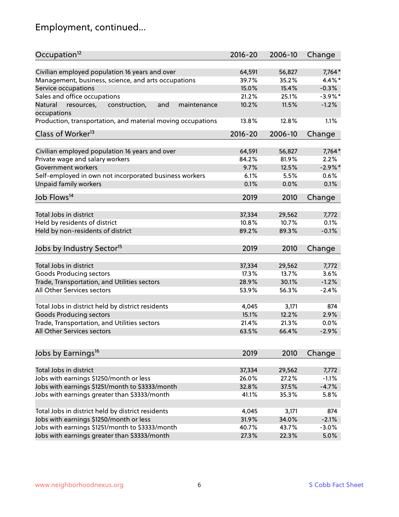# Employment, continued...

| Occupation <sup>12</sup>                                     | $2016 - 20$ | 2006-10 | Change     |
|--------------------------------------------------------------|-------------|---------|------------|
| Civilian employed population 16 years and over               | 64,591      | 56,827  | $7,764*$   |
| Management, business, science, and arts occupations          | 39.7%       | 35.2%   | 4.4%*      |
| Service occupations                                          | 15.0%       | 15.4%   | $-0.3%$    |
| Sales and office occupations                                 | 21.2%       | 25.1%   | $-3.9\%$ * |
| resources,<br>and<br>Natural<br>construction,<br>maintenance | 10.2%       | 11.5%   | $-1.2%$    |
| occupations                                                  |             |         |            |
| Production, transportation, and material moving occupations  | 13.8%       | 12.8%   | 1.1%       |
| Class of Worker <sup>13</sup>                                | $2016 - 20$ | 2006-10 | Change     |
|                                                              |             |         |            |
| Civilian employed population 16 years and over               | 64,591      | 56,827  | $7,764*$   |
| Private wage and salary workers                              | 84.2%       | 81.9%   | 2.2%       |
| Government workers                                           | 9.7%        | 12.5%   | $-2.9%$ *  |
| Self-employed in own not incorporated business workers       | 6.1%        | 5.5%    | 0.6%       |
| <b>Unpaid family workers</b>                                 | 0.1%        | 0.0%    | 0.1%       |
| Job Flows <sup>14</sup>                                      | 2019        | 2010    | Change     |
|                                                              |             |         |            |
| Total Jobs in district                                       | 37,334      | 29,562  | 7,772      |
| Held by residents of district                                | 10.8%       | 10.7%   | 0.1%       |
| Held by non-residents of district                            | 89.2%       | 89.3%   | $-0.1%$    |
| Jobs by Industry Sector <sup>15</sup>                        | 2019        | 2010    | Change     |
| Total Jobs in district                                       | 37,334      | 29,562  | 7,772      |
|                                                              |             |         |            |
| Goods Producing sectors                                      | 17.3%       | 13.7%   | 3.6%       |
| Trade, Transportation, and Utilities sectors                 | 28.9%       | 30.1%   | $-1.2%$    |
| All Other Services sectors                                   | 53.9%       | 56.3%   | $-2.4%$    |
| Total Jobs in district held by district residents            | 4,045       | 3,171   | 874        |
| <b>Goods Producing sectors</b>                               | 15.1%       | 12.2%   | 2.9%       |
| Trade, Transportation, and Utilities sectors                 | 21.4%       | 21.3%   | 0.0%       |
| All Other Services sectors                                   | 63.5%       | 66.4%   | $-2.9%$    |
|                                                              |             |         |            |
| Jobs by Earnings <sup>16</sup>                               | 2019        | 2010    | Change     |
| Total Jobs in district                                       |             |         |            |
|                                                              | 37,334      | 29,562  | 7,772      |
| Jobs with earnings \$1250/month or less                      | 26.0%       | 27.2%   | $-1.1%$    |
| Jobs with earnings \$1251/month to \$3333/month              | 32.8%       | 37.5%   | $-4.7%$    |
| Jobs with earnings greater than \$3333/month                 | 41.1%       | 35.3%   | 5.8%       |
| Total Jobs in district held by district residents            | 4,045       | 3,171   | 874        |
| Jobs with earnings \$1250/month or less                      | 31.9%       | 34.0%   | $-2.1%$    |
| Jobs with earnings \$1251/month to \$3333/month              | 40.7%       | 43.7%   | $-3.0%$    |
| Jobs with earnings greater than \$3333/month                 | 27.3%       | 22.3%   | 5.0%       |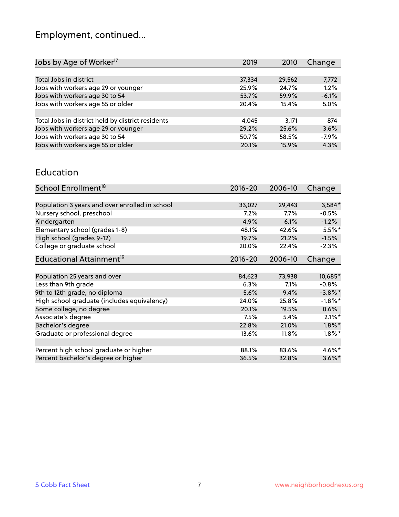# Employment, continued...

| Jobs by Age of Worker <sup>17</sup>               | 2019   | 2010   | Change  |
|---------------------------------------------------|--------|--------|---------|
|                                                   |        |        |         |
| Total Jobs in district                            | 37,334 | 29,562 | 7,772   |
| Jobs with workers age 29 or younger               | 25.9%  | 24.7%  | 1.2%    |
| Jobs with workers age 30 to 54                    | 53.7%  | 59.9%  | $-6.1%$ |
| Jobs with workers age 55 or older                 | 20.4%  | 15.4%  | 5.0%    |
|                                                   |        |        |         |
| Total Jobs in district held by district residents | 4.045  | 3.171  | 874     |
| Jobs with workers age 29 or younger               | 29.2%  | 25.6%  | 3.6%    |
| Jobs with workers age 30 to 54                    | 50.7%  | 58.5%  | $-7.9%$ |
| Jobs with workers age 55 or older                 | 20.1%  | 15.9%  | 4.3%    |
|                                                   |        |        |         |

#### Education

| School Enrollment <sup>18</sup>                | $2016 - 20$ | 2006-10 | Change     |
|------------------------------------------------|-------------|---------|------------|
|                                                |             |         |            |
| Population 3 years and over enrolled in school | 33,027      | 29,443  | $3,584*$   |
| Nursery school, preschool                      | $7.2\%$     | $7.7\%$ | $-0.5%$    |
| Kindergarten                                   | 4.9%        | 6.1%    | $-1.2%$    |
| Elementary school (grades 1-8)                 | 48.1%       | 42.6%   | $5.5%$ *   |
| High school (grades 9-12)                      | 19.7%       | 21.2%   | $-1.5%$    |
| College or graduate school                     | 20.0%       | 22.4%   | $-2.3%$    |
| Educational Attainment <sup>19</sup>           | $2016 - 20$ | 2006-10 | Change     |
|                                                |             |         |            |
| Population 25 years and over                   | 84,623      | 73,938  | 10,685*    |
| Less than 9th grade                            | 6.3%        | 7.1%    | $-0.8%$    |
| 9th to 12th grade, no diploma                  | 5.6%        | 9.4%    | $-3.8\%$ * |
| High school graduate (includes equivalency)    | 24.0%       | 25.8%   | $-1.8\%$ * |
| Some college, no degree                        | 20.1%       | 19.5%   | 0.6%       |
| Associate's degree                             | 7.5%        | 5.4%    | $2.1\%$ *  |
| Bachelor's degree                              | 22.8%       | 21.0%   | $1.8\%$ *  |
| Graduate or professional degree                | 13.6%       | 11.8%   | $1.8\%$ *  |
|                                                |             |         |            |
| Percent high school graduate or higher         | 88.1%       | 83.6%   | 4.6%*      |
| Percent bachelor's degree or higher            | 36.5%       | 32.8%   | $3.6\%$ *  |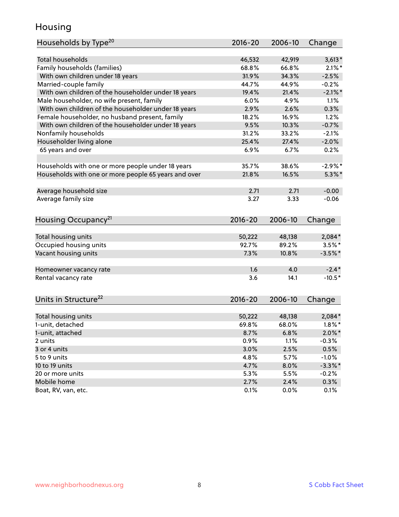## Housing

| Households by Type <sup>20</sup>                     | 2016-20     | 2006-10 | Change     |
|------------------------------------------------------|-------------|---------|------------|
|                                                      |             |         |            |
| <b>Total households</b>                              | 46,532      | 42,919  | $3,613*$   |
| Family households (families)                         | 68.8%       | 66.8%   | $2.1\%$ *  |
| With own children under 18 years                     | 31.9%       | 34.3%   | $-2.5%$    |
| Married-couple family                                | 44.7%       | 44.9%   | $-0.2%$    |
| With own children of the householder under 18 years  | 19.4%       | 21.4%   | $-2.1\%$ * |
| Male householder, no wife present, family            | 6.0%        | 4.9%    | 1.1%       |
| With own children of the householder under 18 years  | 2.9%        | 2.6%    | 0.3%       |
| Female householder, no husband present, family       | 18.2%       | 16.9%   | 1.2%       |
| With own children of the householder under 18 years  | 9.5%        | 10.3%   | $-0.7%$    |
| Nonfamily households                                 | 31.2%       | 33.2%   | $-2.1%$    |
| Householder living alone                             | 25.4%       | 27.4%   | $-2.0%$    |
| 65 years and over                                    | 6.9%        | 6.7%    | 0.2%       |
|                                                      |             |         |            |
| Households with one or more people under 18 years    | 35.7%       | 38.6%   | $-2.9%$ *  |
| Households with one or more people 65 years and over | 21.8%       | 16.5%   | $5.3\%$ *  |
| Average household size                               | 2.71        | 2.71    | $-0.00$    |
| Average family size                                  | 3.27        | 3.33    | $-0.06$    |
| Housing Occupancy <sup>21</sup>                      | 2016-20     | 2006-10 | Change     |
|                                                      |             |         |            |
| Total housing units                                  | 50,222      | 48,138  | 2,084*     |
| Occupied housing units                               | 92.7%       | 89.2%   | $3.5\%$ *  |
| Vacant housing units                                 | 7.3%        | 10.8%   | $-3.5%$ *  |
| Homeowner vacancy rate                               | 1.6         | 4.0     | $-2.4*$    |
| Rental vacancy rate                                  | 3.6         | 14.1    | $-10.5*$   |
| Units in Structure <sup>22</sup>                     | $2016 - 20$ | 2006-10 | Change     |
|                                                      |             |         |            |
| Total housing units                                  | 50,222      | 48,138  | $2,084*$   |
| 1-unit, detached                                     | 69.8%       | 68.0%   | $1.8\%$ *  |
| 1-unit, attached                                     | 8.7%        | 6.8%    | $2.0\%$ *  |
| 2 units                                              | 0.9%        | 1.1%    | $-0.3%$    |
| 3 or 4 units                                         | 3.0%        | 2.5%    | 0.5%       |
| 5 to 9 units                                         | 4.8%        | 5.7%    | $-1.0%$    |
| 10 to 19 units                                       | 4.7%        | 8.0%    | $-3.3\%$ * |
| 20 or more units                                     | 5.3%        | 5.5%    | $-0.2%$    |
| Mobile home                                          | 2.7%        | 2.4%    | 0.3%       |
| Boat, RV, van, etc.                                  | 0.1%        | 0.0%    | 0.1%       |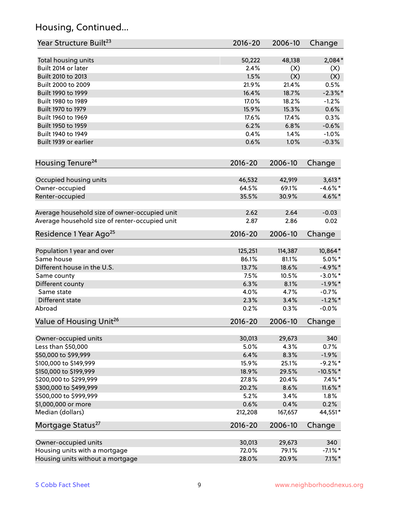## Housing, Continued...

| Year Structure Built <sup>23</sup>             | 2016-20     | 2006-10 | Change      |
|------------------------------------------------|-------------|---------|-------------|
| Total housing units                            | 50,222      | 48,138  | 2,084*      |
| Built 2014 or later                            | 2.4%        | (X)     | (X)         |
| Built 2010 to 2013                             | 1.5%        | (X)     | (X)         |
| Built 2000 to 2009                             | 21.9%       | 21.4%   | 0.5%        |
| Built 1990 to 1999                             | 16.4%       | 18.7%   | $-2.3\%$ *  |
| Built 1980 to 1989                             | 17.0%       | 18.2%   | $-1.2%$     |
| Built 1970 to 1979                             | 15.9%       | 15.3%   | 0.6%        |
| Built 1960 to 1969                             | 17.6%       | 17.4%   | 0.3%        |
| Built 1950 to 1959                             | 6.2%        | 6.8%    | $-0.6%$     |
| Built 1940 to 1949                             | 0.4%        | 1.4%    | $-1.0%$     |
| Built 1939 or earlier                          | 0.6%        | 1.0%    | $-0.3%$     |
| Housing Tenure <sup>24</sup>                   | $2016 - 20$ | 2006-10 | Change      |
| Occupied housing units                         | 46,532      | 42,919  | $3,613*$    |
| Owner-occupied                                 | 64.5%       | 69.1%   | $-4.6\%$ *  |
| Renter-occupied                                | 35.5%       | 30.9%   | 4.6%*       |
|                                                |             |         |             |
| Average household size of owner-occupied unit  | 2.62        | 2.64    | $-0.03$     |
| Average household size of renter-occupied unit | 2.87        | 2.86    | 0.02        |
| Residence 1 Year Ago <sup>25</sup>             | $2016 - 20$ | 2006-10 | Change      |
|                                                |             |         |             |
| Population 1 year and over                     | 125,251     | 114,387 | 10,864*     |
| Same house                                     | 86.1%       | 81.1%   | $5.0\%$ *   |
| Different house in the U.S.                    | 13.7%       | 18.6%   | $-4.9\%$ *  |
| Same county                                    | 7.5%        | 10.5%   | $-3.0\%$ *  |
| Different county                               | 6.3%        | 8.1%    | $-1.9%$ *   |
| Same state                                     | 4.0%        | 4.7%    | $-0.7%$     |
| Different state                                | 2.3%        | 3.4%    | $-1.2\%$ *  |
| Abroad                                         | 0.2%        | 0.3%    | $-0.0%$     |
| Value of Housing Unit <sup>26</sup>            | $2016 - 20$ | 2006-10 | Change      |
| Owner-occupied units                           | 30,013      | 29,673  | 340         |
| Less than \$50,000                             | 5.0%        | 4.3%    | 0.7%        |
| \$50,000 to \$99,999                           | 6.4%        | 8.3%    | $-1.9%$     |
| \$100,000 to \$149,999                         | 15.9%       | 25.1%   | $-9.2%$ *   |
| \$150,000 to \$199,999                         | 18.9%       | 29.5%   | $-10.5\%$ * |
| \$200,000 to \$299,999                         | 27.8%       | 20.4%   | $7.4\%$ *   |
| \$300,000 to \$499,999                         | 20.2%       | 8.6%    | $11.6\%$ *  |
| \$500,000 to \$999,999                         | 5.2%        | 3.4%    | 1.8%        |
| \$1,000,000 or more                            | 0.6%        | 0.4%    | 0.2%        |
| Median (dollars)                               | 212,208     | 167,657 | 44,551*     |
| Mortgage Status <sup>27</sup>                  | $2016 - 20$ | 2006-10 | Change      |
| Owner-occupied units                           | 30,013      | 29,673  | 340         |
| Housing units with a mortgage                  | 72.0%       | 79.1%   | $-7.1\%$ *  |
| Housing units without a mortgage               | 28.0%       | 20.9%   | $7.1\%$ *   |
|                                                |             |         |             |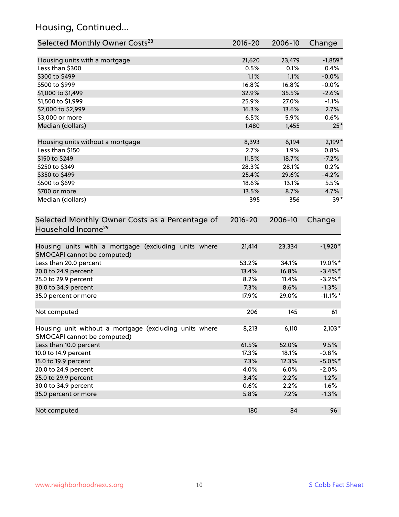## Housing, Continued...

| Selected Monthly Owner Costs <sup>28</sup>                                            | 2016-20       | 2006-10        | Change           |
|---------------------------------------------------------------------------------------|---------------|----------------|------------------|
| Housing units with a mortgage                                                         | 21,620        | 23,479         | $-1,859*$        |
| Less than \$300                                                                       | 0.5%          | 0.1%           | 0.4%             |
| \$300 to \$499                                                                        | 1.1%          | 1.1%           | $-0.0%$          |
| \$500 to \$999                                                                        | 16.8%         | 16.8%          | $-0.0%$          |
| \$1,000 to \$1,499                                                                    | 32.9%         | 35.5%          | $-2.6%$          |
| \$1,500 to \$1,999                                                                    | 25.9%         | 27.0%          | $-1.1%$          |
| \$2,000 to \$2,999                                                                    | 16.3%         | 13.6%          | 2.7%             |
| \$3,000 or more                                                                       | 6.5%          | 5.9%           | 0.6%             |
| Median (dollars)                                                                      | 1,480         | 1,455          | $25*$            |
|                                                                                       |               |                |                  |
| Housing units without a mortgage<br>Less than \$150                                   | 8,393<br>2.7% | 6,194<br>1.9%  | $2,199*$<br>0.8% |
| \$150 to \$249                                                                        | 11.5%         | 18.7%          | $-7.2%$          |
| \$250 to \$349                                                                        | 28.3%         | 28.1%          | 0.2%             |
|                                                                                       | 25.4%         |                | $-4.2%$          |
| \$350 to \$499<br>\$500 to \$699                                                      | 18.6%         | 29.6%<br>13.1% | 5.5%             |
| \$700 or more                                                                         | 13.5%         | 8.7%           | 4.7%             |
| Median (dollars)                                                                      | 395           | 356            | $39*$            |
|                                                                                       |               |                |                  |
| Selected Monthly Owner Costs as a Percentage of<br>Household Income <sup>29</sup>     | $2016 - 20$   | 2006-10        | Change           |
| Housing units with a mortgage (excluding units where<br>SMOCAPI cannot be computed)   | 21,414        | 23,334         | $-1,920*$        |
| Less than 20.0 percent                                                                | 53.2%         | 34.1%          | 19.0%*           |
| 20.0 to 24.9 percent                                                                  | 13.4%         | 16.8%          | $-3.4\%$ *       |
| 25.0 to 29.9 percent                                                                  | 8.2%          | 11.4%          | $-3.2\%$ *       |
| 30.0 to 34.9 percent                                                                  | 7.3%          | 8.6%           | $-1.3%$          |
| 35.0 percent or more                                                                  | 17.9%         | 29.0%          | $-11.1\%$ *      |
| Not computed                                                                          | 206           | 145            | 61               |
| Housing unit without a mortgage (excluding units where<br>SMOCAPI cannot be computed) | 8,213         | 6,110          | $2,103*$         |
| Less than 10.0 percent                                                                | 61.5%         | 52.0%          | 9.5%             |
| 10.0 to 14.9 percent                                                                  | 17.3%         | 18.1%          | $-0.8%$          |
| 15.0 to 19.9 percent                                                                  | 7.3%          | 12.3%          | $-5.0\%$ *       |
| 20.0 to 24.9 percent                                                                  | 4.0%          | 6.0%           | $-2.0%$          |
| 25.0 to 29.9 percent                                                                  | 3.4%          | 2.2%           | 1.2%             |
| 30.0 to 34.9 percent                                                                  | 0.6%          | 2.2%           | $-1.6%$          |
| 35.0 percent or more                                                                  | 5.8%          | 7.2%           | $-1.3%$          |
| Not computed                                                                          | 180           | 84             | 96               |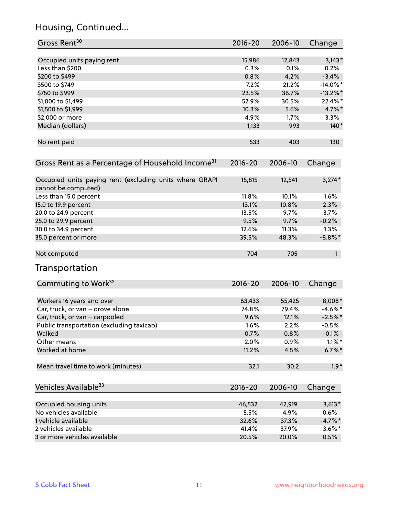## Housing, Continued...

| Gross Rent <sup>30</sup>                                     | 2016-20     | 2006-10 | Change      |
|--------------------------------------------------------------|-------------|---------|-------------|
| Occupied units paying rent                                   | 15,986      | 12,843  | $3,143*$    |
| Less than \$200                                              | 0.3%        | 0.1%    | 0.2%        |
| \$200 to \$499                                               | 0.8%        | 4.2%    | $-3.4%$     |
| \$500 to \$749                                               | 7.2%        | 21.2%   | $-14.0\%$ * |
| \$750 to \$999                                               | 23.5%       | 36.7%   | $-13.2\%$ * |
| \$1,000 to \$1,499                                           | 52.9%       | 30.5%   | 22.4%*      |
| \$1,500 to \$1,999                                           | 10.3%       | 5.6%    | 4.7%*       |
| \$2,000 or more                                              | 4.9%        | 1.7%    | 3.3%        |
| Median (dollars)                                             | 1,133       | 993     | $140*$      |
|                                                              |             |         |             |
| No rent paid                                                 | 533         | 403     | 130         |
| Gross Rent as a Percentage of Household Income <sup>31</sup> | $2016 - 20$ | 2006-10 | Change      |
| Occupied units paying rent (excluding units where GRAPI      | 15,815      | 12,541  | $3,274*$    |
| cannot be computed)                                          | 11.8%       | 10.1%   | 1.6%        |
| Less than 15.0 percent                                       | 13.1%       | 10.8%   | 2.3%        |
| 15.0 to 19.9 percent                                         | 13.5%       | 9.7%    | 3.7%        |
| 20.0 to 24.9 percent                                         |             |         |             |
| 25.0 to 29.9 percent                                         | 9.5%        | 9.7%    | $-0.2%$     |
| 30.0 to 34.9 percent                                         | 12.6%       | 11.3%   | 1.3%        |
| 35.0 percent or more                                         | 39.5%       | 48.3%   | $-8.8\%$ *  |
| Not computed                                                 | 704         | 705     | $-1$        |
| Transportation                                               |             |         |             |
| Commuting to Work <sup>32</sup>                              | 2016-20     | 2006-10 | Change      |
| Workers 16 years and over                                    | 63,433      | 55,425  | 8,008*      |
| Car, truck, or van - drove alone                             | 74.8%       | 79.4%   | $-4.6%$ *   |
| Car, truck, or van - carpooled                               | 9.6%        | 12.1%   | $-2.5%$ *   |
| Public transportation (excluding taxicab)                    | 1.6%        | 2.2%    | $-0.5%$     |
| Walked                                                       | 0.7%        | 0.8%    | $-0.1%$     |
| Other means                                                  | 2.0%        | 0.9%    | $1.1\%$ *   |
| Worked at home                                               | 11.2%       | 4.5%    | $6.7\%$ *   |
| Mean travel time to work (minutes)                           | 32.1        | 30.2    | $1.9*$      |
| Vehicles Available <sup>33</sup>                             | $2016 - 20$ | 2006-10 | Change      |
| Occupied housing units                                       | 46,532      | 42,919  | $3,613*$    |
| No vehicles available                                        | 5.5%        | 4.9%    | 0.6%        |
| 1 vehicle available                                          | 32.6%       | 37.3%   | $-4.7\%$ *  |
| 2 vehicles available                                         | 41.4%       | 37.9%   | $3.6\%$ *   |
| 3 or more vehicles available                                 | 20.5%       | 20.0%   | 0.5%        |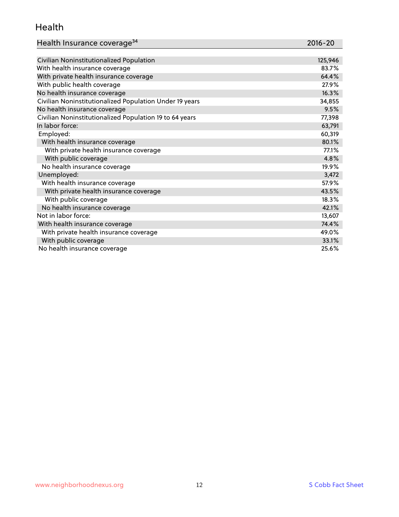#### Health

| Health Insurance coverage <sup>34</sup> | 2016-20 |
|-----------------------------------------|---------|
|-----------------------------------------|---------|

| Civilian Noninstitutionalized Population                | 125,946 |
|---------------------------------------------------------|---------|
| With health insurance coverage                          | 83.7%   |
| With private health insurance coverage                  | 64.4%   |
| With public health coverage                             | 27.9%   |
| No health insurance coverage                            | 16.3%   |
| Civilian Noninstitutionalized Population Under 19 years | 34,855  |
| No health insurance coverage                            | 9.5%    |
| Civilian Noninstitutionalized Population 19 to 64 years | 77,398  |
| In labor force:                                         | 63,791  |
| Employed:                                               | 60,319  |
| With health insurance coverage                          | 80.1%   |
| With private health insurance coverage                  | 77.1%   |
| With public coverage                                    | 4.8%    |
| No health insurance coverage                            | 19.9%   |
| Unemployed:                                             | 3,472   |
| With health insurance coverage                          | 57.9%   |
| With private health insurance coverage                  | 43.5%   |
| With public coverage                                    | 18.3%   |
| No health insurance coverage                            | 42.1%   |
| Not in labor force:                                     | 13,607  |
| With health insurance coverage                          | 74.4%   |
| With private health insurance coverage                  | 49.0%   |
| With public coverage                                    | 33.1%   |
| No health insurance coverage                            | 25.6%   |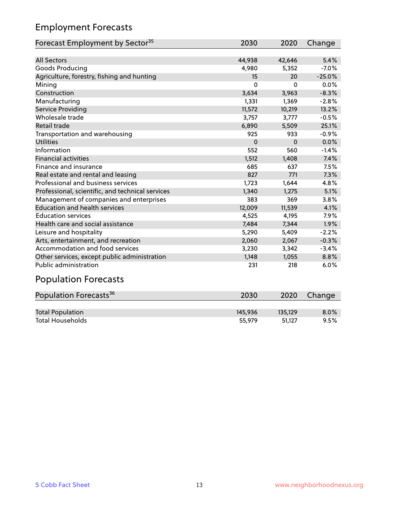## Employment Forecasts

| Forecast Employment by Sector <sup>35</sup>      | 2030     | 2020     | Change   |
|--------------------------------------------------|----------|----------|----------|
|                                                  |          |          |          |
| <b>All Sectors</b>                               | 44,938   | 42,646   | 5.4%     |
| Goods Producing                                  | 4,980    | 5,352    | $-7.0%$  |
| Agriculture, forestry, fishing and hunting       | 15       | 20       | $-25.0%$ |
| Mining                                           | 0        | $\Omega$ | 0.0%     |
| Construction                                     | 3,634    | 3,963    | $-8.3%$  |
| Manufacturing                                    | 1,331    | 1,369    | $-2.8%$  |
| <b>Service Providing</b>                         | 11,572   | 10,219   | 13.2%    |
| Wholesale trade                                  | 3,757    | 3,777    | $-0.5%$  |
| <b>Retail trade</b>                              | 6,890    | 5,509    | 25.1%    |
| Transportation and warehousing                   | 925      | 933      | $-0.9%$  |
| <b>Utilities</b>                                 | $\Omega$ | $\Omega$ | 0.0%     |
| Information                                      | 552      | 560      | $-1.4%$  |
| <b>Financial activities</b>                      | 1,512    | 1,408    | 7.4%     |
| Finance and insurance                            | 685      | 637      | 7.5%     |
| Real estate and rental and leasing               | 827      | 771      | 7.3%     |
| Professional and business services               | 1,723    | 1,644    | 4.8%     |
| Professional, scientific, and technical services | 1,340    | 1,275    | 5.1%     |
| Management of companies and enterprises          | 383      | 369      | 3.8%     |
| <b>Education and health services</b>             | 12,009   | 11,539   | 4.1%     |
| <b>Education services</b>                        | 4,525    | 4,195    | 7.9%     |
| Health care and social assistance                | 7,484    | 7,344    | 1.9%     |
| Leisure and hospitality                          | 5,290    | 5,409    | $-2.2%$  |
| Arts, entertainment, and recreation              | 2,060    | 2,067    | $-0.3%$  |
| Accommodation and food services                  | 3,230    | 3,342    | $-3.4%$  |
| Other services, except public administration     | 1,148    | 1,055    | 8.8%     |
| Public administration                            | 231      | 218      | 6.0%     |
| Damilating Faussach                              |          |          |          |

#### Population Forecasts

| Population Forecasts <sup>36</sup> | 2030    | 2020    | Change  |
|------------------------------------|---------|---------|---------|
|                                    |         |         |         |
| <b>Total Population</b>            | 145,936 | 135.129 | $8.0\%$ |
| <b>Total Households</b>            | 55.979  | 51.127  | 9.5%    |